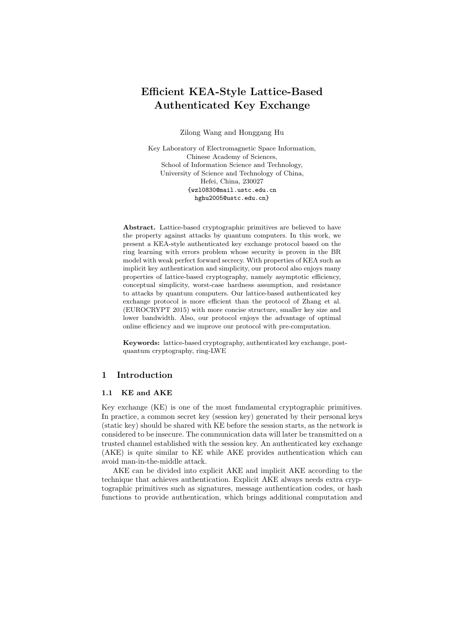# Efficient KEA-Style Lattice-Based Authenticated Key Exchange

Zilong Wang and Honggang Hu

Key Laboratory of Electromagnetic Space Information, Chinese Academy of Sciences, School of Information Science and Technology, University of Science and Technology of China, Hefei, China, 230027 {wzl0830@mail.ustc.edu.cn hghu2005@ustc.edu.cn}

Abstract. Lattice-based cryptographic primitives are believed to have the property against attacks by quantum computers. In this work, we present a KEA-style authenticated key exchange protocol based on the ring learning with errors problem whose security is proven in the BR model with weak perfect forward secrecy. With properties of KEA such as implicit key authentication and simplicity, our protocol also enjoys many properties of lattice-based cryptography, namely asymptotic efficiency, conceptual simplicity, worst-case hardness assumption, and resistance to attacks by quantum computers. Our lattice-based authenticated key exchange protocol is more efficient than the protocol of Zhang et al. (EUROCRYPT 2015) with more concise structure, smaller key size and lower bandwidth. Also, our protocol enjoys the advantage of optimal online efficiency and we improve our protocol with pre-computation.

Keywords: lattice-based cryptography, authenticated key exchange, postquantum cryptography, ring-LWE

# 1 Introduction

### 1.1 KE and AKE

Key exchange (KE) is one of the most fundamental cryptographic primitives. In practice, a common secret key (session key) generated by their personal keys (static key) should be shared with KE before the session starts, as the network is considered to be insecure. The communication data will later be transmitted on a trusted channel established with the session key. An authenticated key exchange (AKE) is quite similar to KE while AKE provides authentication which can avoid man-in-the-middle attack.

AKE can be divided into explicit AKE and implicit AKE according to the technique that achieves authentication. Explicit AKE always needs extra cryptographic primitives such as signatures, message authentication codes, or hash functions to provide authentication, which brings additional computation and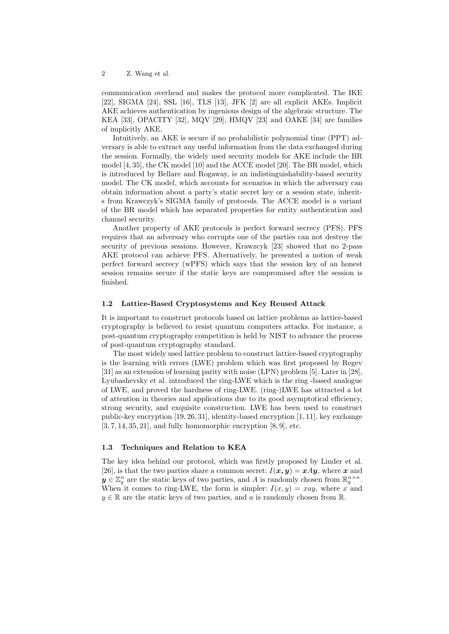communication overhead and makes the protocol more complicated. The IKE [22], SIGMA [24], SSL [16], TLS [13], JFK [2] are all explicit AKEs. Implicit AKE achieves authentication by ingenious design of the algebraic structure. The KEA [33], OPACITY [32], MQV [29], HMQV [23] and OAKE [34] are families of implicitly AKE.

Intuitively, an AKE is secure if no probabilistic polynomial time (PPT) adversary is able to extract any useful information from the data exchanged during the session. Formally, the widely used security models for AKE include the BR model [4, 35], the CK model [10] and the ACCE model [20]. The BR model, which is introduced by Bellare and Rogaway, is an indistinguishability-based security model. The CK model, which accounts for scenarios in which the adversary can obtain information about a party's static secret key or a session state, inherits from Krawczyk's SIGMA family of protocols. The ACCE model is a variant of the BR model which has separated properties for entity authentication and channel security.

Another property of AKE protocols is perfect forward secrecy (PFS). PFS requires that an adversary who corrupts one of the parties can not destroy the security of previous sessions. However, Krawzcyk [23] showed that no 2-pass AKE protocol can achieve PFS. Alternatively, he presented a notion of weak perfect forward secrecy (wPFS) which says that the session key of an honest session remains secure if the static keys are compromised after the session is finished.

#### 1.2 Lattice-Based Cryptosystems and Key Reused Attack

It is important to construct protocols based on lattice problems as lattice-based cryptography is believed to resist quantum computers attacks. For instance, a post-quantum cryptography competition is held by NIST to advance the process of post-quantum cryptography standard.

The most widely used lattice problem to construct lattice-based cryptography is the learning with errors (LWE) problem which was first proposed by Regev [31] as an extension of learning parity with noise (LPN) problem [5]. Later in [28], Lyubashevsky et al. introduced the ring-LWE which is the ring -based analogue of LWE, and proved the hardness of ring-LWE. (ring-)LWE has attracted a lot of attention in theories and applications due to its good asymptotical efficiency, strong security, and exquisite construction. LWE has been used to construct public-key encryption [19, 26, 31], identity-based encryption [1, 11], key exchange  $[3, 7, 14, 35, 21]$ , and fully homomorphic encryption  $[8, 9]$ , etc.

#### 1.3 Techniques and Relation to KEA

The key idea behind our protocol, which was firstly proposed by Linder et al. [26], is that the two parties share a common secret:  $I(x, y) = xAy$ , where x and  $y \in \mathbb{Z}_q^n$  are the static keys of two parties, and A is randomly chosen from  $\mathbb{R}_q^{n \times n}$ . When it comes to ring-LWE, the form is simpler:  $I(x, y) = xay$ , where x and  $y \in \mathbb{R}$  are the static keys of two parties, and a is randomly chosen from  $\mathbb{R}$ .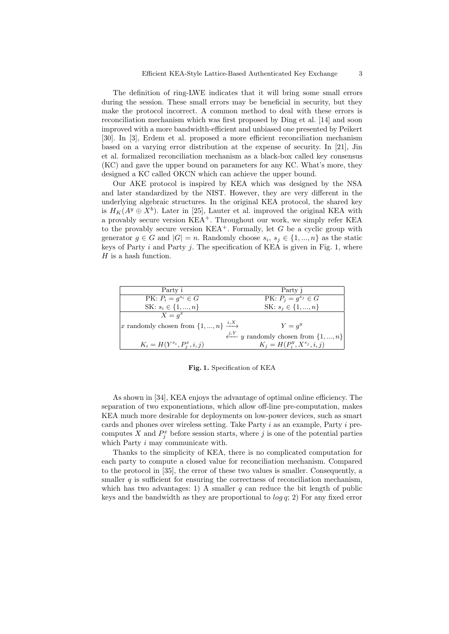The definition of ring-LWE indicates that it will bring some small errors during the session. These small errors may be beneficial in security, but they make the protocol incorrect. A common method to deal with these errors is reconciliation mechanism which was first proposed by Ding et al. [14] and soon improved with a more bandwidth-efficient and unbiased one presented by Peikert [30]. In [3], Erdem et al. proposed a more efficient reconciliation mechanism based on a varying error distribution at the expense of security. In [21], Jin et al. formalized reconciliation mechanism as a black-box called key consensus (KC) and gave the upper bound on parameters for any KC. What's more, they designed a KC called OKCN which can achieve the upper bound.

Our AKE protocol is inspired by KEA which was designed by the NSA and later standardized by the NIST. However, they are very different in the underlying algebraic structures. In the original KEA protocol, the shared key is  $H_K(A^y \oplus X^b)$ . Later in [25], Lauter et al. improved the original KEA with a provably secure version  $KEA^+$ . Throughout our work, we simply refer KEA to the provably secure version  $KEA^+$ . Formally, let G be a cyclic group with generator  $g \in G$  and  $|G| = n$ . Randomly choose  $s_i, s_j \in \{1, ..., n\}$  as the static keys of Party  $i$  and Party  $j$ . The specification of KEA is given in Fig. 1, where  $H$  is a hash function.

| Party i                                                | Party i                                              |
|--------------------------------------------------------|------------------------------------------------------|
| $PK: P_i = q^{s_i} \in G$                              | $PK: P_i = g^{s_j} \in G$                            |
| SK: $s_i \in \{1, , n\}$                               | SK: $s_i \in \{1, , n\}$                             |
| $X = q^x$                                              |                                                      |
| x randomly chosen from $\{1, , n\} \xrightarrow{i, X}$ | $Y = q^y$                                            |
|                                                        | $\xleftarrow{j,Y}$ y randomly chosen from $\{1,,n\}$ |
| $K_i = H(Y^{s_i}, P_i^x, i, j)$                        | $K_i = H(P_i^y, X^{s_j}, i, j)$                      |

Fig. 1. Specification of KEA

As shown in [34], KEA enjoys the advantage of optimal online efficiency. The separation of two exponentiations, which allow off-line pre-computation, makes KEA much more desirable for deployments on low-power devices, such as smart cards and phones over wireless setting. Take Party i as an example, Party i precomputes X and  $P_j^x$  before session starts, where j is one of the potential parties which Party *i* may communicate with.

Thanks to the simplicity of KEA, there is no complicated computation for each party to compute a closed value for reconciliation mechanism. Compared to the protocol in [35], the error of these two values is smaller. Consequently, a smaller  $q$  is sufficient for ensuring the correctness of reconciliation mechanism, which has two advantages: 1) A smaller  $q$  can reduce the bit length of public keys and the bandwidth as they are proportional to  $\log q$ ; 2) For any fixed error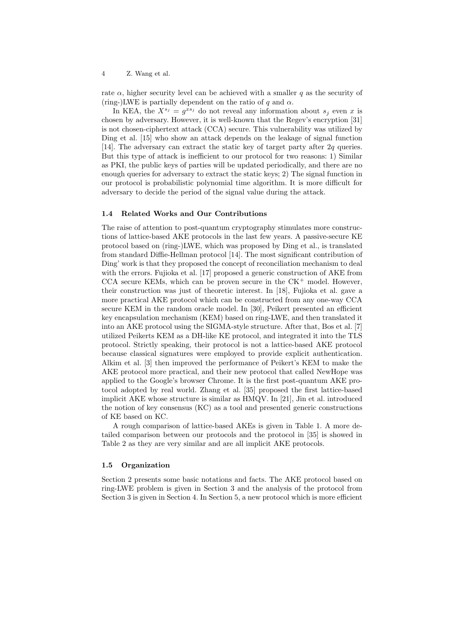rate  $\alpha$ , higher security level can be achieved with a smaller q as the security of (ring-)LWE is partially dependent on the ratio of q and  $\alpha$ .

In KEA, the  $X^{s_j} = g^{xs_j}$  do not reveal any information about  $s_j$  even x is chosen by adversary. However, it is well-known that the Regev's encryption [31] is not chosen-ciphertext attack (CCA) secure. This vulnerability was utilized by Ding et al. [15] who show an attack depends on the leakage of signal function [14]. The adversary can extract the static key of target party after 2q queries. But this type of attack is inefficient to our protocol for two reasons: 1) Similar as PKI, the public keys of parties will be updated periodically, and there are no enough queries for adversary to extract the static keys; 2) The signal function in our protocol is probabilistic polynomial time algorithm. It is more difficult for adversary to decide the period of the signal value during the attack.

#### 1.4 Related Works and Our Contributions

The raise of attention to post-quantum cryptography stimulates more constructions of lattice-based AKE protocols in the last few years. A passive-secure KE protocol based on (ring-)LWE, which was proposed by Ding et al., is translated from standard Diffie-Hellman protocol [14]. The most significant contribution of Ding' work is that they proposed the concept of reconciliation mechanism to deal with the errors. Fujioka et al. [17] proposed a generic construction of AKE from CCA secure KEMs, which can be proven secure in the  $CK^+$  model. However, their construction was just of theoretic interest. In [18], Fujioka et al. gave a more practical AKE protocol which can be constructed from any one-way CCA secure KEM in the random oracle model. In [30], Peikert presented an efficient key encapsulation mechanism (KEM) based on ring-LWE, and then translated it into an AKE protocol using the SIGMA-style structure. After that, Bos et al. [7] utilized Peikerts KEM as a DH-like KE protocol, and integrated it into the TLS protocol. Strictly speaking, their protocol is not a lattice-based AKE protocol because classical signatures were employed to provide explicit authentication. Alkim et al. [3] then improved the performance of Peikert's KEM to make the AKE protocol more practical, and their new protocol that called NewHope was applied to the Google's browser Chrome. It is the first post-quantum AKE protocol adopted by real world. Zhang et al. [35] proposed the first lattice-based implicit AKE whose structure is similar as HMQV. In [21], Jin et al. introduced the notion of key consensus (KC) as a tool and presented generic constructions of KE based on KC.

A rough comparison of lattice-based AKEs is given in Table 1. A more detailed comparison between our protocols and the protocol in [35] is showed in Table 2 as they are very similar and are all implicit AKE protocols.

#### 1.5 Organization

Section 2 presents some basic notations and facts. The AKE protocol based on ring-LWE problem is given in Section 3 and the analysis of the protocol from Section 3 is given in Section 4. In Section 5, a new protocol which is more efficient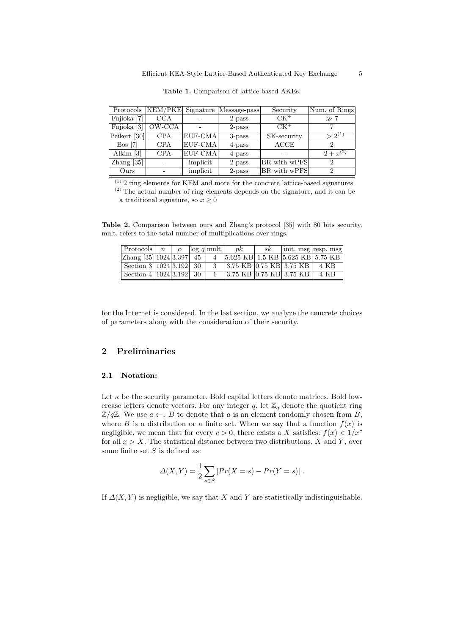|                        |            | Protocols   KEM/PKE   Signature   Message-pass |           | Security     | Num. of Rings |  |
|------------------------|------------|------------------------------------------------|-----------|--------------|---------------|--|
| Fujioka <sup>[7]</sup> | CCA        |                                                | $2$ -pass | $CK^+$       | $\gg 7$       |  |
| Fujioka [3]            | OW-CCA     |                                                | $2$ -pass | $CK^+$       |               |  |
| Peikert [30]           | <b>CPA</b> | EUF-CMA                                        | 3-pass    | SK-security  | $> 2^{(1)}$   |  |
| $Bos$ [7]              | <b>CPA</b> | EUF-CMA                                        | 4-pass    | ACCE         | 2             |  |
| Alkim $[3]$            | <b>CPA</b> | EUF-CMA                                        | 4-pass    |              | $2 + x^{(2)}$ |  |
| $\text{Zhang}$ [35]    |            | implicit                                       | 2-pass    | BR with wPFS | $\Omega$      |  |
| Ours                   |            | implicit                                       | $2$ -pass | BR with wPFS | 2             |  |

Table 1. Comparison of lattice-based AKEs.

(1) 2 ring elements for KEM and more for the concrete lattice-based signatures. (2) The actual number of ring elements depends on the signature, and it can be

a traditional signature, so  $x \geq 0$ 

Table 2. Comparison between ours and Zhang's protocol [35] with 80 bits security. mult. refers to the total number of multiplications over rings.

| $ $ Protocols $ n  \alpha$ $ \log q $ mult.    |  |  | n k                                   | sk | $\vert \text{init. msg} \vert \text{resp. msg} \vert$ |
|------------------------------------------------|--|--|---------------------------------------|----|-------------------------------------------------------|
| $\sqrt{2 \text{hang } [35]   1024   3.397}$ 45 |  |  | 5.625 KB 1.5 KB 5.625 KB 5.75 KB      |    |                                                       |
| Section 3 $ 1024 3.192 $ 30                    |  |  | 3.75 KB $ 0.75$ KB $ 3.75$ KB $ 4$ KB |    |                                                       |
| Section 4 $ 1024 3.192 $ 30                    |  |  | $3.75$ KB 0.75 KB 3.75 KB             |    | 4 KB                                                  |

for the Internet is considered. In the last section, we analyze the concrete choices of parameters along with the consideration of their security.

# 2 Preliminaries

#### 2.1 Notation:

Let  $\kappa$  be the security parameter. Bold capital letters denote matrices. Bold lowercase letters denote vectors. For any integer  $q$ , let  $\mathbb{Z}_q$  denote the quotient ring  $\mathbb{Z}/q\mathbb{Z}$ . We use  $a \leftarrow_r B$  to denote that a is an element randomly chosen from B, where B is a distribution or a finite set. When we say that a function  $f(x)$  is negligible, we mean that for every  $c > 0$ , there exists a X satisfies:  $f(x) < 1/x^c$ for all  $x > X$ . The statistical distance between two distributions, X and Y, over some finite set  $S$  is defined as:

$$
\Delta(X,Y) = \frac{1}{2} \sum_{s \in S} |Pr(X = s) - Pr(Y = s)|.
$$

If  $\Delta(X, Y)$  is negligible, we say that X and Y are statistically indistinguishable.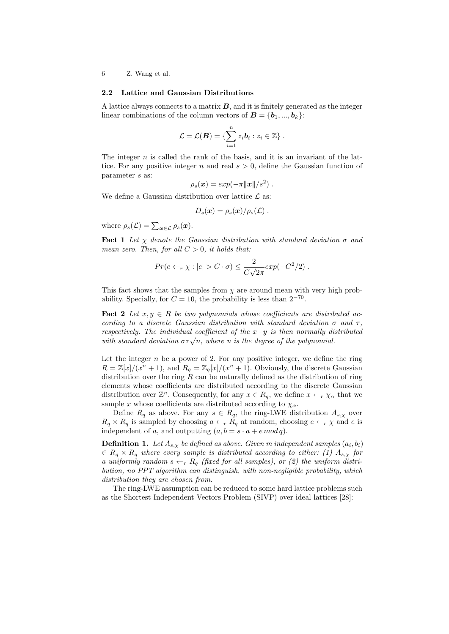#### 2.2 Lattice and Gaussian Distributions

A lattice always connects to a matrix  $B$ , and it is finitely generated as the integer linear combinations of the column vectors of  $\mathbf{B} = \{\mathbf{b}_1, ..., \mathbf{b}_k\}$ :

$$
\mathcal{L} = \mathcal{L}(\boldsymbol{B}) = \{ \sum_{i=1}^n z_i \boldsymbol{b}_i : z_i \in \mathbb{Z} \}.
$$

The integer  $n$  is called the rank of the basis, and it is an invariant of the lattice. For any positive integer n and real  $s > 0$ , define the Gaussian function of parameter s as:

$$
\rho_s(\boldsymbol{x}) = exp(-\pi ||\boldsymbol{x}||/s^2) .
$$

We define a Gaussian distribution over lattice  $\mathcal{L}$  as:

$$
D_s(\boldsymbol{x}) = \rho_s(\boldsymbol{x})/\rho_s(\mathcal{L})\ .
$$

where  $\rho_s(\mathcal{L}) = \sum_{\mathbf{x} \in \mathcal{L}} \rho_s(\mathbf{x}).$ 

**Fact 1** Let  $\chi$  denote the Gaussian distribution with standard deviation  $\sigma$  and mean zero. Then, for all  $C > 0$ , it holds that:

$$
Pr(e \leftarrow_r \chi : |e| > C \cdot \sigma) \leq \frac{2}{C\sqrt{2\pi}} exp(-C^2/2).
$$

This fact shows that the samples from  $\chi$  are around mean with very high probability. Specially, for  $C = 10$ , the probability is less than  $2^{-70}$ .

**Fact 2** Let  $x, y \in R$  be two polynomials whose coefficients are distributed according to a discrete Gaussian distribution with standard deviation  $\sigma$  and  $\tau$ , respectively. The individual coefficient of the  $x \cdot y$  is then normally distributed *respectively.* The individual coefficient of the x  $\cdot$  y is then normally at with standard deviation  $\sigma \tau \sqrt{n}$ , where n is the degree of the polynomial.

Let the integer  $n$  be a power of 2. For any positive integer, we define the ring  $R = \mathbb{Z}[x]/(x^n + 1)$ , and  $R_q = \mathbb{Z}_q[x]/(x^n + 1)$ . Obviously, the discrete Gaussian distribution over the ring  $R$  can be naturally defined as the distribution of ring elements whose coefficients are distributed according to the discrete Gaussian distribution over  $\mathbb{Z}^n$ . Consequently, for any  $x \in R_q$ , we define  $x \leftarrow_r \chi_\alpha$  that we sample x whose coefficients are distributed according to  $\chi_{\alpha}$ .

Define  $R_q$  as above. For any  $s \in R_q$ , the ring-LWE distribution  $A_{s,\chi}$  over  $R_q \times R_q$  is sampled by choosing  $a \leftarrow_r R_q$  at random, choosing  $e \leftarrow_r \chi$  and e is independent of a, and outputting  $(a, b = s \cdot a + e \mod q)$ .

**Definition 1.** Let  $A_{s,x}$  be defined as above. Given m independent samples  $(a_i, b_i)$  $\epsilon \in R_q \times R_q$  where every sample is distributed according to either: (1)  $A_{s,x}$  for a uniformly random  $s \leftarrow_r R_q$  (fixed for all samples), or (2) the uniform distribution, no PPT algorithm can distinguish, with non-negligible probability, which distribution they are chosen from.

The ring-LWE assumption can be reduced to some hard lattice problems such as the Shortest Independent Vectors Problem (SIVP) over ideal lattices [28]: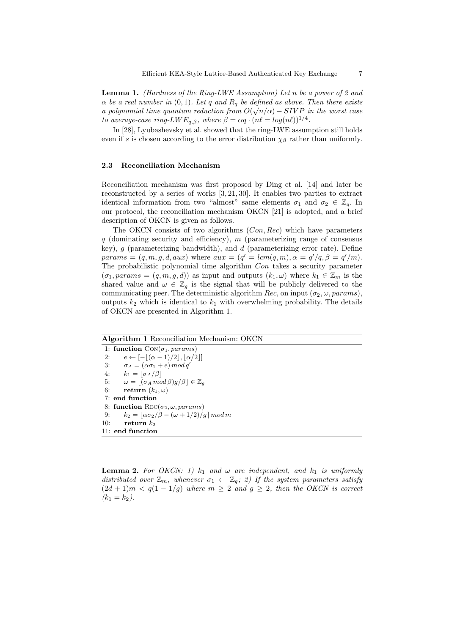**Lemma 1.** (Hardness of the Ring-LWE Assumption) Let n be a power of 2 and  $\alpha$  be a real number in  $(0, 1)$ . Let q and  $R_q$  be defined as above. Then there exists a polynomial time quantum reduction from  $O(\sqrt{n}/\alpha) - SIVP$  in the worst case to average-case ring-LW  $E_{q,\beta}$ , where  $\beta = \alpha q \cdot (n\ell = log(n\ell))^{1/4}$ .

In [28], Lyubashevsky et al. showed that the ring-LWE assumption still holds even if s is chosen according to the error distribution  $\chi_{\beta}$  rather than uniformly.

#### 2.3 Reconciliation Mechanism

Reconciliation mechanism was first proposed by Ding et al. [14] and later be reconstructed by a series of works [3, 21, 30]. It enables two parties to extract identical information from two "almost" same elements  $\sigma_1$  and  $\sigma_2 \in \mathbb{Z}_q$ . In our protocol, the reconciliation mechanism OKCN [21] is adopted, and a brief description of OKCN is given as follows.

The OKCN consists of two algorithms (*Con, Rec*) which have parameters  $q$  (dominating security and efficiency), m (parameterizing range of consensus key),  $g$  (parameterizing bandwidth), and  $d$  (parameterizing error rate). Define  $params = (q, m, g, d, aux)$  where  $aux = (q' = lcm(q, m), \alpha = q'/q, \beta = q'/m)$ . The probabilistic polynomial time algorithm Con takes a security parameter  $(\sigma_1, params = (q, m, g, d))$  as input and outputs  $(k_1, \omega)$  where  $k_1 \in \mathbb{Z}_m$  is the shared value and  $\omega \in \mathbb{Z}_q$  is the signal that will be publicly delivered to the communicating peer. The deterministic algorithm Rec, on input  $(\sigma_2, \omega, params)$ , outputs  $k_2$  which is identical to  $k_1$  with overwhelming probability. The details of OKCN are presented in Algorithm 1.

#### Algorithm 1 Reconciliation Mechanism: OKCN

1: function  $Con(\sigma_1, \text{params})$ 2:  $e \leftarrow \lbrack - \rbrack (\alpha - 1)/2 \rbrack, |\alpha/2| \rbrack$ 3:  $\sigma_A = (\alpha \sigma_1 + e) \mod q'$ 4:  $k_1 = \lfloor \sigma_A/\beta \rfloor$ 5:  $\omega = \lfloor (\sigma_A \mod \beta)g/\beta \rfloor \in \mathbb{Z}_g$ 6: return  $(k_1, \omega)$ 7: end function 8: function  $\text{Rec}(\sigma_2, \omega, \text{params})$ 9:  $k_2 = \lfloor \alpha \sigma_2/\beta - (\omega + 1/2)/g \rfloor \mod m$ 10: return  $k_2$ 11: end function

**Lemma 2.** For OKCN: 1)  $k_1$  and  $\omega$  are independent, and  $k_1$  is uniformly distributed over  $\mathbb{Z}_m$ , whenever  $\sigma_1 \leftarrow \mathbb{Z}_q$ ; 2) If the system parameters satisfy  $(2d + 1)m < q(1 - 1/g)$  where  $m \geq 2$  and  $g \geq 2$ , then the OKCN is correct  $(k_1 = k_2).$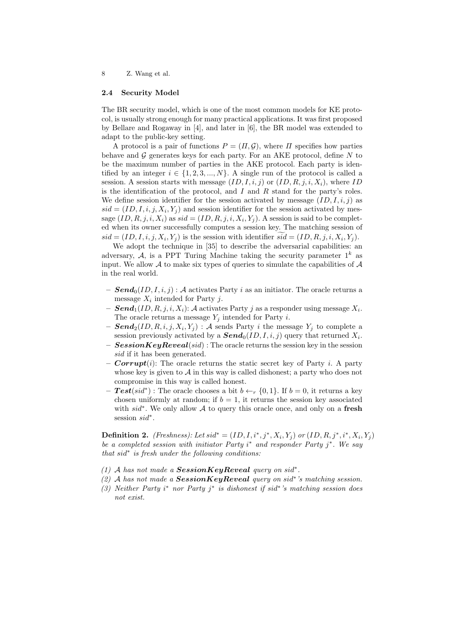#### 2.4 Security Model

The BR security model, which is one of the most common models for KE protocol, is usually strong enough for many practical applications. It was first proposed by Bellare and Rogaway in [4], and later in [6], the BR model was extended to adapt to the public-key setting.

A protocol is a pair of functions  $P = (H, \mathcal{G})$ , where H specifies how parties behave and  $\mathcal G$  generates keys for each party. For an AKE protocol, define  $N$  to be the maximum number of parties in the AKE protocol. Each party is identified by an integer  $i \in \{1, 2, 3, ..., N\}$ . A single run of the protocol is called a session. A session starts with message  $(ID, I, i, j)$  or  $(ID, R, j, i, X_i)$ , where ID is the identification of the protocol, and  $I$  and  $R$  stand for the party's roles. We define session identifier for the session activated by message  $(ID, I, i, j)$  as  $sid = (ID, I, i, j, X_i, Y_j)$  and session identifier for the session activated by message  $(ID, R, j, i, X_i)$  as  $sid = (ID, R, j, i, X_i, Y_j)$ . A session is said to be completed when its owner successfully computes a session key. The matching session of  $sid = (ID, I, i, j, X_i, Y_j)$  is the session with identifier  $sid = (ID, R, j, i, X_i, Y_j)$ .

We adopt the technique in [35] to describe the adversarial capabilities: an adversary, A, is a PPT Turing Machine taking the security parameter  $1^k$  as input. We allow  $A$  to make six types of queries to simulate the capabilities of  $A$ in the real world.

- $\text{Send}_0(ID, I, i, j) : \mathcal{A}$  activates Party i as an initiator. The oracle returns a message  $X_i$  intended for Party j.
- $-$  Send<sub>1</sub>(ID, R, j, i, X<sub>i</sub>): A activates Party j as a responder using message  $X_i$ . The oracle returns a message  $Y_i$  intended for Party i.
- $\text{Send}_2(ID, R, i, j, X_i, Y_j) : A \text{ sends Party } i \text{ the message } Y_j \text{ to complete a}$ session previously activated by a  $\text{Send}_0(ID, I, i, j)$  query that returned  $X_i$ .
- $SessionKeyReveal(sid)$ : The oracle returns the session key in the session sid if it has been generated.
- **Corrupt**(i): The oracle returns the static secret key of Party i. A party whose key is given to  $A$  in this way is called dishonest; a party who does not compromise in this way is called honest.
- $\text{ Test}(sid^*)$ : The oracle chooses a bit  $b \leftarrow_r \{0, 1\}$ . If  $b = 0$ , it returns a key chosen uniformly at random; if  $b = 1$ , it returns the session key associated with sid<sup>∗</sup>. We only allow A to query this oracle once, and only on a fresh session sid<sup>\*</sup>.

**Definition 2.** (Freshness): Let  $sid^* = (ID, I, i^*, j^*, X_i, Y_j)$  or  $(ID, R, j^*, i^*, X_i, Y_j)$ be a completed session with initiator Party  $i^*$  and responder Party  $j^*$ . We say that sid<sup>∗</sup> is fresh under the following conditions:

- (1) A has not made a SessionKeyReveal query on sid<sup>\*</sup>.
- (2) A has not made a  $SessionKeyReveal$  query on sid<sup>\*</sup>'s matching session.
- (3) Neither Party i<sup>\*</sup> nor Party j<sup>\*</sup> is dishonest if sid<sup>\*</sup>'s matching session does not exist.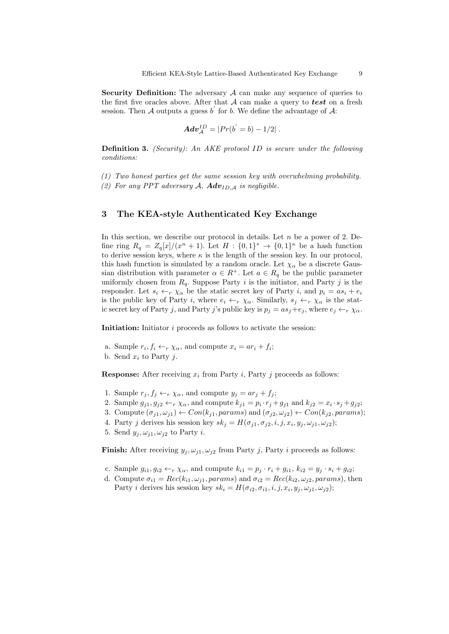Security Definition: The adversary  $A$  can make any sequence of queries to the first five oracles above. After that  $A$  can make a query to test on a fresh session. Then A outputs a guess  $b'$  for b. We define the advantage of A:

$$
Adv_{\mathcal{A}}^{ID}=|Pr(b^{'}=b)-1/2|.
$$

Definition 3. (Security): An AKE protocol ID is secure under the following conditions:

(1) Two honest parties get the same session key with overwhelming probability. (2) For any PPT adversary A,  $Adv_{ID,A}$  is negligible.

# 3 The KEA-style Authenticated Key Exchange

In this section, we describe our protocol in details. Let  $n$  be a power of 2. Define ring  $R_q = Z_q[x]/(x^n + 1)$ . Let  $H : \{0,1\}^* \to \{0,1\}^{\kappa}$  be a hash function to derive session keys, where  $\kappa$  is the length of the session key. In our protocol, this hash function is simulated by a random oracle. Let  $\chi_{\alpha}$  be a discrete Gaussian distribution with parameter  $\alpha \in R^+$ . Let  $a \in R_q$  be the public parameter uniformly chosen from  $R_q$ . Suppose Party i is the initiator, and Party j is the responder. Let  $s_i \leftarrow_r \chi_\alpha$  be the static secret key of Party i, and  $p_i = as_i + e_i$ is the public key of Party i, where  $e_i \leftarrow_r \chi_\alpha$ . Similarly,  $s_j \leftarrow_r \chi_\alpha$  is the static secret key of Party j, and Party j's public key is  $p_j = as_j + e_j$ , where  $e_j \leftarrow_r \chi_\alpha$ .

Initiation: Initiator *i* proceeds as follows to activate the session:

- a. Sample  $r_i, f_i \leftarrow_r \chi_\alpha$ , and compute  $x_i = ar_i + f_i$ ;
- b. Send  $x_i$  to Party j.

**Response:** After receiving  $x_i$  from Party i, Party j proceeds as follows:

- 1. Sample  $r_j, f_j \leftarrow_r \chi_\alpha$ , and compute  $y_j = ar_j + f_j$ ;
- 2. Sample  $g_{j1}, g_{j2} \leftarrow r \chi_{\alpha}$ , and compute  $k_{j1} = p_i \cdot r_j + g_{j1}$  and  $k_{j2} = x_i \cdot s_j + g_{j2}$ ;
- 3. Compute  $(\sigma_{j1}, \omega_{j1}) \leftarrow Con(k_{j1}, \text{params})$  and  $(\sigma_{j2}, \omega_{j2}) \leftarrow Con(k_{j2}, \text{params});$
- 4. Party j derives his session key  $sk_j = H(\sigma_{j1}, \sigma_{j2}, i, j, x_i, y_j, \omega_{j1}, \omega_{j2});$
- 5. Send  $y_i, \omega_{i1}, \omega_{i2}$  to Party *i*.

**Finish:** After receiving  $y_j, \omega_{j1}, \omega_{j2}$  from Party j, Party i proceeds as follows:

- c. Sample  $g_{i1}, g_{i2} \leftarrow_r \chi_\alpha$ , and compute  $k_{i1} = p_j \cdot r_i + g_{i1}, k_{i2} = y_j \cdot s_i + g_{i2}$ ;
- d. Compute  $\sigma_{i1} = Rec(k_{i1}, \omega_{j1}, \text{params})$  and  $\sigma_{i2} = Rec(k_{i2}, \omega_{j2}, \text{params})$ , then Party *i* derives his session key  $sk_i = H(\sigma_{i2}, \sigma_{i1}, i, j, x_i, y_j, \omega_{j1}, \omega_{j2});$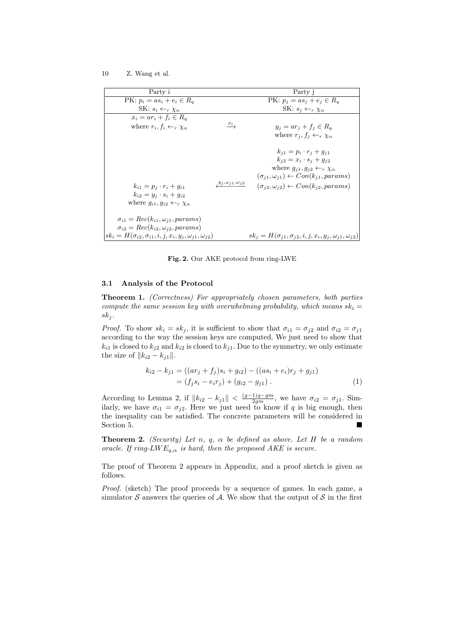| Party i                                                                                                                   |                                 | Party j                                                                                                                                                                                                                                                       |
|---------------------------------------------------------------------------------------------------------------------------|---------------------------------|---------------------------------------------------------------------------------------------------------------------------------------------------------------------------------------------------------------------------------------------------------------|
| PK: $p_i = as_i + e_i \in R_q$                                                                                            |                                 | PK: $p_j = as_j + e_j \in R_q$                                                                                                                                                                                                                                |
| SK: $s_i \leftarrow_r \chi_\alpha$                                                                                        |                                 | SK: $s_j \leftarrow_r \chi_\alpha$                                                                                                                                                                                                                            |
| $x_i = ar_i + f_i \in R_a$                                                                                                |                                 |                                                                                                                                                                                                                                                               |
| where $r_i, f_i \leftarrow_r \chi_\alpha$                                                                                 | $x_{i}$                         | $y_i = ar_i + f_i \in R_q$                                                                                                                                                                                                                                    |
|                                                                                                                           |                                 | where $r_j, f_j \leftarrow_r \chi_\alpha$                                                                                                                                                                                                                     |
| $k_{i1} = p_i \cdot r_i + q_{i1}$<br>$k_{i2} = y_j \cdot s_i + g_{i2}$<br>where $g_{i1}, g_{i2} \leftarrow_r \chi_\alpha$ | $y_j, \omega_{j1}, \omega_{j2}$ | $k_{i1} = p_i \cdot r_i + g_{i1}$<br>$k_{i2} = x_i \cdot s_i + q_{i2}$<br>where $g_{j1}, g_{j2} \leftarrow_r \chi_\alpha$<br>$(\sigma_{j1}, \omega_{j1}) \leftarrow Con(k_{j1}, \text{params})$<br>$(\sigma_{i2}, \omega_{i2}) \leftarrow Con(k_{j2},params)$ |
| $\sigma_{i1} = Rec(k_{i1}, \omega_{j1}, \text{params})$                                                                   |                                 |                                                                                                                                                                                                                                                               |
| $\sigma_{i2} = Rec(k_{i2}, \omega_{j2},params)$                                                                           |                                 |                                                                                                                                                                                                                                                               |
| $sk_i = H(\sigma_{i2}, \sigma_{i1}, i, j, x_i, y_j, \omega_{j1}, \omega_{j2})$                                            |                                 | $sk_j = H(\sigma_{j1}, \sigma_{j2}, i, j, x_i, y_j, \omega_{j1}, \omega_{j2})$                                                                                                                                                                                |

Fig. 2. Our AKE protocol from ring-LWE

#### 3.1 Analysis of the Protocol

Theorem 1. (Correctness) For appropriately chosen parameters, both parties compute the same session key with overwhelming probability, which means  $sk_i =$  $sk_j$ .

*Proof.* To show  $sk_i = sk_j$ , it is sufficient to show that  $\sigma_{i1} = \sigma_{i2}$  and  $\sigma_{i2} = \sigma_{i1}$ according to the way the session keys are computed. We just need to show that  $k_{i1}$  is closed to  $k_{j2}$  and  $k_{i2}$  is closed to  $k_{j1}$ . Due to the symmetry, we only estimate the size of  $||k_{i2} - k_{j1}||$ .

$$
k_{i2} - k_{j1} = ((ar_j + f_j)s_i + g_{i2}) - ((as_i + e_i)r_j + g_{j1})
$$
  
=  $(f_j s_i - e_i r_j) + (g_{i2} - g_{j1}).$  (1)

According to Lemma 2, if  $||k_{i2} - k_{j1}|| < \frac{(g-1)q-gm}{2gm}$ , we have  $\sigma_{i2} = \sigma_{j1}$ . Similarly, we have  $\sigma_{i1} = \sigma_{i2}$ . Here we just need to know if q is big enough, then the inequality can be satisfied. The concrete parameters will be considered in Section 5.

**Theorem 2.** (Security) Let n, q,  $\alpha$  be defined as above. Let H be a random oracle. If ring-LW  $E_{q,\alpha}$  is hard, then the proposed AKE is secure.

The proof of Theorem 2 appears in Appendix, and a proof sketch is given as follows.

Proof. (sketch) The proof proceeds by a sequence of games. In each game, a simulator  $S$  answers the queries of  $A$ . We show that the output of  $S$  in the first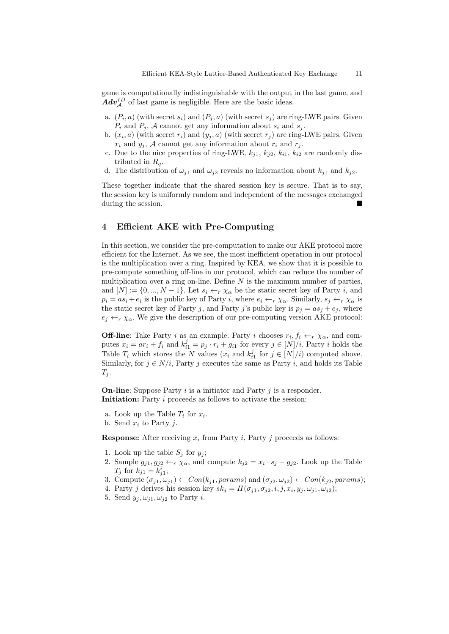game is computationally indistinguishable with the output in the last game, and  $Adv_{\mathcal{A}}^{ID}$  of last game is negligible. Here are the basic ideas.

- a.  $(P_i, a)$  (with secret  $s_i$ ) and  $(P_j, a)$  (with secret  $s_j$ ) are ring-LWE pairs. Given  $P_i$  and  $P_j$ , A cannot get any information about  $s_i$  and  $s_j$ .
- b.  $(x_i, a)$  (with secret  $r_i$ ) and  $(y_j, a)$  (with secret  $r_j$ ) are ring-LWE pairs. Given  $x_i$  and  $y_j$ , A cannot get any information about  $r_i$  and  $r_j$ .
- c. Due to the nice properties of ring-LWE,  $k_{i1}$ ,  $k_{i2}$ ,  $k_{i1}$ ,  $k_{i2}$  are randomly distributed in  $R_q$ .
- d. The distribution of  $\omega_{j1}$  and  $\omega_{j2}$  reveals no information about  $k_{j1}$  and  $k_{j2}$ .

These together indicate that the shared session key is secure. That is to say, the session key is uniformly random and independent of the messages exchanged during the session.

# 4 Efficient AKE with Pre-Computing

In this section, we consider the pre-computation to make our AKE protocol more efficient for the Internet. As we see, the most inefficient operation in our protocol is the multiplication over a ring. Inspired by KEA, we show that it is possible to pre-compute something off-line in our protocol, which can reduce the number of multiplication over a ring on-line. Define  $N$  is the maximum number of parties, and  $[N] := \{0, ..., N-1\}$ . Let  $s_i \leftarrow_r \chi_\alpha$  be the static secret key of Party *i*, and  $p_i = as_i + e_i$  is the public key of Party *i*, where  $e_i \leftarrow_r \chi_\alpha$ . Similarly,  $s_j \leftarrow_r \chi_\alpha$  is the static secret key of Party j, and Party j's public key is  $p_j = as_j + e_j$ , where  $e_i \leftarrow_r \chi_\alpha$ . We give the description of our pre-computing version AKE protocol:

**Off-line**: Take Party *i* as an example. Party *i* chooses  $r_i, f_i \leftarrow_r \chi_\alpha$ , and computes  $x_i = ar_i + f_i$  and  $k_{i1}^j = p_j \cdot r_i + g_{i1}$  for every  $j \in [N]/i$ . Party i holds the Table  $T_i$  which stores the N values  $(x_i$  and  $k_{i1}^j$  for  $j \in [N]/i$ ) computed above. Similarly, for  $j \in N/i$ , Party j executes the same as Party i, and holds its Table  $T_j$ .

**On-line:** Suppose Party  $i$  is a initiator and Party  $j$  is a responder. Initiation: Party *i* proceeds as follows to activate the session:

- a. Look up the Table  $T_i$  for  $x_i$ .
- b. Send  $x_i$  to Party j.

**Response:** After receiving  $x_i$  from Party i, Party j proceeds as follows:

- 1. Look up the table  $S_j$  for  $y_j$ ;
- 2. Sample  $g_{j1}, g_{j2} \leftarrow r \chi_{\alpha}$ , and compute  $k_{j2} = x_i \cdot s_j + g_{j2}$ . Look up the Table  $T_j$  for  $k_{j1} = k_{j1}^i$ ;
- 3. Compute  $(\sigma_{j1}, \omega_{j1}) \leftarrow Con(k_{j1}, \text{params})$  and  $(\sigma_{j2}, \omega_{j2}) \leftarrow Con(k_{j2}, \text{params})$ ;
- 4. Party j derives his session key  $sk_j = H(\sigma_{j1}, \sigma_{j2}, i, j, x_i, y_j, \omega_{j1}, \omega_{j2});$
- 5. Send  $y_j, \omega_{j1}, \omega_{j2}$  to Party *i*.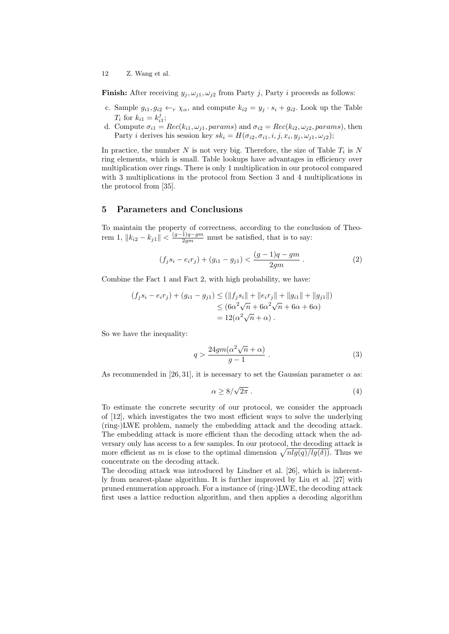**Finish:** After receiving  $y_j, \omega_{j1}, \omega_{j2}$  from Party j, Party i proceeds as follows:

- c. Sample  $g_{i1}, g_{i2} \leftarrow_r \chi_\alpha$ , and compute  $k_{i2} = y_j \cdot s_i + g_{i2}$ . Look up the Table  $T_i$  for  $k_{i1} = k_{i1}^j$ ;
- d. Compute  $\sigma_{i1} = Rec(k_{i1}, \omega_{j1}, \text{params})$  and  $\sigma_{i2} = Rec(k_{i2}, \omega_{j2}, \text{params})$ , then Party *i* derives his session key  $sk_i = H(\sigma_{i2}, \sigma_{i1}, i, j, x_i, y_j, \omega_{j1}, \omega_{j2});$

In practice, the number  $N$  is not very big. Therefore, the size of Table  $T_i$  is  $N$ ring elements, which is small. Table lookups have advantages in efficiency over multiplication over rings. There is only 1 multiplication in our protocol compared with 3 multiplications in the protocol from Section 3 and 4 multiplications in the protocol from [35].

# 5 Parameters and Conclusions

To maintain the property of correctness, according to the conclusion of Theorem 1,  $||k_{i2} - k_{j1}|| < \frac{(g-1)q-gm}{2gm}$  must be satisfied, that is to say:

$$
(f_j s_i - e_i r_j) + (g_{i1} - g_{j1}) < \frac{(g-1)q - gm}{2gm} \,. \tag{2}
$$

Combine the Fact 1 and Fact 2, with high probability, we have:

$$
(f_j s_i - e_i r_j) + (g_{i1} - g_{j1}) \le (\|f_j s_i\| + \|e_i r_j\| + \|g_{i1}\| + \|g_{j1}\|)
$$
  
\n
$$
\le (6\alpha^2 \sqrt{n} + 6\alpha^2 \sqrt{n} + 6\alpha + 6\alpha)
$$
  
\n
$$
= 12(\alpha^2 \sqrt{n} + \alpha).
$$

So we have the inequality:

$$
q > \frac{24gm(\alpha^2\sqrt{n} + \alpha)}{g - 1} \,. \tag{3}
$$

As recommended in [26, 31], it is necessary to set the Gaussian parameter  $\alpha$  as:

$$
\alpha \ge 8/\sqrt{2\pi} \ . \tag{4}
$$

To estimate the concrete security of our protocol, we consider the approach of [12], which investigates the two most efficient ways to solve the underlying (ring-)LWE problem, namely the embedding attack and the decoding attack. The embedding attack is more efficient than the decoding attack when the adversary only has access to a few samples. In our protocol, the decoding attack is more efficient as m is close to the optimal dimension  $\sqrt{nlg(q)/lg(\delta)}$ . Thus we concentrate on the decoding attack.

The decoding attack was introduced by Lindner et al. [26], which is inherently from nearest-plane algorithm. It is further improved by Liu et al. [27] with pruned enumeration approach. For a instance of (ring-)LWE, the decoding attack first uses a lattice reduction algorithm, and then applies a decoding algorithm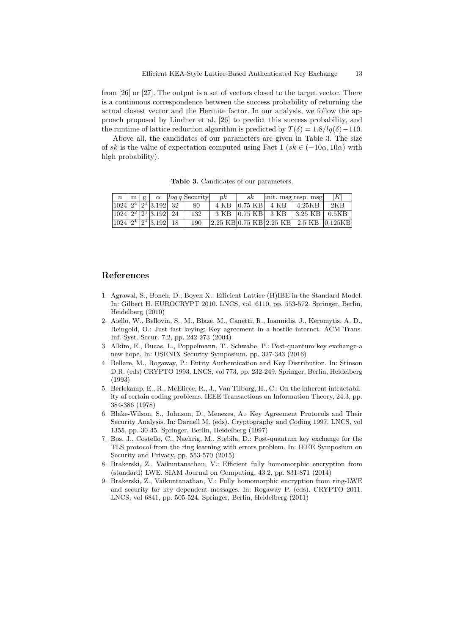from [26] or [27]. The output is a set of vectors closed to the target vector. There is a continuous correspondence between the success probability of returning the actual closest vector and the Hermite factor. In our analysis, we follow the approach proposed by Lindner et al. [26] to predict this success probability, and the runtime of lattice reduction algorithm is predicted by  $T(\delta) = 1.8/lg(\delta) - 110$ .

Above all, the candidates of our parameters are given in Table 3. The size of sk is the value of expectation computed using Fact  $1 (sk \in (-10\alpha, 10\alpha)$  with high probability).

Table 3. Candidates of our parameters.

| $\boldsymbol{n}$ |  |                                                             | $\lfloor m \rfloor g \lfloor \alpha \rfloor$ $\lfloor log q \rfloor$ Security | p k | sk |                   | $\vert \text{init. msg} \vert \text{resp. msg} \vert$                               | K   |
|------------------|--|-------------------------------------------------------------|-------------------------------------------------------------------------------|-----|----|-------------------|-------------------------------------------------------------------------------------|-----|
|                  |  | $ 1024 $ $2^4$ $ 2^1 $ 3.192 32                             | 80                                                                            |     |    | 4 KB 0.75 KB 4 KB | 4.25KB                                                                              | 2KB |
|                  |  | $\sqrt{1024}$ $2^2$ $\sqrt{2^1}$ $\sqrt{3.192}$ $\sqrt{24}$ | 132                                                                           |     |    |                   | 3 KB 0.75 KB 3 KB 3.25 KB 0.5KB                                                     |     |
|                  |  | $ 1024 $ $2^1$ $ 2^1$ $ 3.192 $ $ 18$                       | 190                                                                           |     |    |                   | $ 2.25 \text{ KB} 0.75 \text{ KB} 2.25 \text{ KB} 2.5 \text{ KB} 0.125 \text{ KB} $ |     |

# References

- 1. Agrawal, S., Boneh, D., Boyen X.: Efficient Lattice (H)IBE in the Standard Model. In: Gilbert H. EUROCRYPT 2010. LNCS, vol. 6110, pp. 553-572. Springer, Berlin, Heidelberg (2010)
- 2. Aiello, W., Bellovin, S., M., Blaze, M., Canetti, R., Ioannidis, J., Keromytis, A. D., Reingold, O.: Just fast keying: Key agreement in a hostile internet. ACM Trans. Inf. Syst. Secur. 7,2, pp. 242-273 (2004)
- 3. Alkim, E., Ducas, L., Poppelmann, T., Schwabe, P.: Post-quantum key exchange-a new hope. In: USENIX Security Symposium. pp. 327-343 (2016)
- 4. Bellare, M., Rogaway, P.: Entity Authentication and Key Distribution. In: Stinson D.R. (eds) CRYPTO 1993. LNCS, vol 773, pp. 232-249. Springer, Berlin, Heidelberg (1993)
- 5. Berlekamp, E., R., McEliece, R., J., Van Tilborg, H., C.: On the inherent intractability of certain coding problems. IEEE Transactions on Information Theory, 24.3, pp. 384-386 (1978)
- 6. Blake-Wilson, S., Johnson, D., Menezes, A.: Key Agreement Protocols and Their Security Analysis. In: Darnell M. (eds). Cryptography and Coding 1997. LNCS, vol 1355, pp. 30-45. Springer, Berlin, Heidelberg (1997)
- 7. Bos, J., Costello, C., Naehrig, M., Stebila, D.: Post-quantum key exchange for the TLS protocol from the ring learning with errors problem. In: IEEE Symposium on Security and Privacy, pp. 553-570 (2015)
- 8. Brakerski, Z., Vaikuntanathan, V.: Efficient fully homomorphic encryption from (standard) LWE. SIAM Journal on Computing, 43.2, pp. 831-871 (2014)
- 9. Brakerski, Z., Vaikuntanathan, V.: Fully homomorphic encryption from ring-LWE and security for key dependent messages. In: Rogaway P. (eds). CRYPTO 2011. LNCS, vol 6841, pp. 505-524. Springer, Berlin, Heidelberg (2011)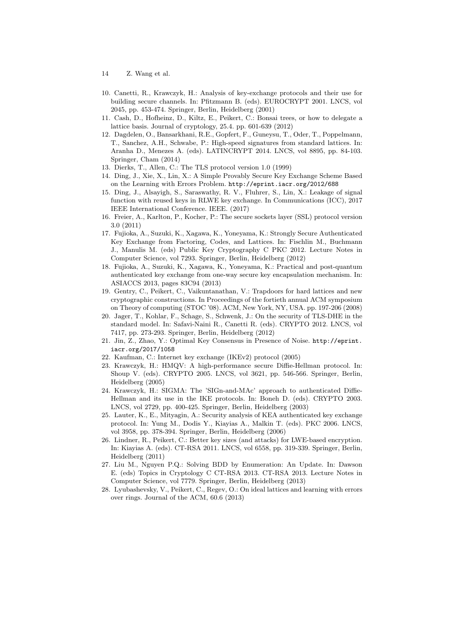- 14 Z. Wang et al.
- 10. Canetti, R., Krawczyk, H.: Analysis of key-exchange protocols and their use for building secure channels. In: Pfitzmann B. (eds). EUROCRYPT 2001. LNCS, vol 2045, pp. 453-474. Springer, Berlin, Heidelberg (2001)
- 11. Cash, D., Hofheinz, D., Kiltz, E., Peikert, C.: Bonsai trees, or how to delegate a lattice basis. Journal of cryptology, 25.4. pp. 601-639 (2012)
- 12. Dagdelen, O., Bansarkhani, R.E., Gopfert, F., Guneysu, T., Oder, T., Poppelmann, T., Sanchez, A.H., Schwabe, P.: High-speed signatures from standard lattices. In: Aranha D., Menezes A. (eds). LATINCRYPT 2014. LNCS, vol 8895, pp. 84-103. Springer, Cham (2014)
- 13. Dierks, T., Allen, C.: The TLS protocol version 1.0 (1999)
- 14. Ding, J., Xie, X., Lin, X.: A Simple Provably Secure Key Exchange Scheme Based on the Learning with Errors Problem. http://eprint.iacr.org/2012/688
- 15. Ding, J., Alsayigh, S., Saraswathy, R. V., Fluhrer, S., Lin, X.: Leakage of signal function with reused keys in RLWE key exchange. In Communications (ICC), 2017 IEEE International Conference. IEEE. (2017)
- 16. Freier, A., Karlton, P., Kocher, P.: The secure sockets layer (SSL) protocol version 3.0 (2011)
- 17. Fujioka, A., Suzuki, K., Xagawa, K., Yoneyama, K.: Strongly Secure Authenticated Key Exchange from Factoring, Codes, and Lattices. In: Fischlin M., Buchmann J., Manulis M. (eds) Public Key Cryptography C PKC 2012. Lecture Notes in Computer Science, vol 7293. Springer, Berlin, Heidelberg (2012)
- 18. Fujioka, A., Suzuki, K., Xagawa, K., Yoneyama, K.: Practical and post-quantum authenticated key exchange from one-way secure key encapsulation mechanism. In: ASIACCS 2013, pages 83C94 (2013)
- 19. Gentry, C., Peikert, C., Vaikuntanathan, V.: Trapdoors for hard lattices and new cryptographic constructions. In Proceedings of the fortieth annual ACM symposium on Theory of computing (STOC '08). ACM, New York, NY, USA. pp. 197-206 (2008)
- 20. Jager, T., Kohlar, F., Schage, S., Schwenk, J.: On the security of TLS-DHE in the standard model. In: Safavi-Naini R., Canetti R. (eds). CRYPTO 2012. LNCS, vol 7417, pp. 273-293. Springer, Berlin, Heidelberg (2012)
- 21. Jin, Z., Zhao, Y.: Optimal Key Consensus in Presence of Noise. http://eprint. iacr.org/2017/1058
- 22. Kaufman, C.: Internet key exchange (IKEv2) protocol (2005)
- 23. Krawczyk, H.: HMQV: A high-performance secure Diffie-Hellman protocol. In: Shoup V. (eds). CRYPTO 2005. LNCS, vol 3621, pp. 546-566. Springer, Berlin, Heidelberg (2005)
- 24. Krawczyk, H.: SIGMA: The 'SIGn-and-MAc' approach to authenticated Diffie-Hellman and its use in the IKE protocols. In: Boneh D. (eds). CRYPTO 2003. LNCS, vol 2729, pp. 400-425. Springer, Berlin, Heidelberg (2003)
- 25. Lauter, K., E., Mityagin, A.: Security analysis of KEA authenticated key exchange protocol. In: Yung M., Dodis Y., Kiayias A., Malkin T. (eds). PKC 2006. LNCS, vol 3958, pp. 378-394. Springer, Berlin, Heidelberg (2006)
- 26. Lindner, R., Peikert, C.: Better key sizes (and attacks) for LWE-based encryption. In: Kiayias A. (eds). CT-RSA 2011. LNCS, vol 6558, pp. 319-339. Springer, Berlin, Heidelberg (2011)
- 27. Liu M., Nguyen P.Q.: Solving BDD by Enumeration: An Update. In: Dawson E. (eds) Topics in Cryptology C CT-RSA 2013. CT-RSA 2013. Lecture Notes in Computer Science, vol 7779. Springer, Berlin, Heidelberg (2013)
- 28. Lyubashevsky, V., Peikert, C., Regev, O.: On ideal lattices and learning with errors over rings. Journal of the ACM, 60.6 (2013)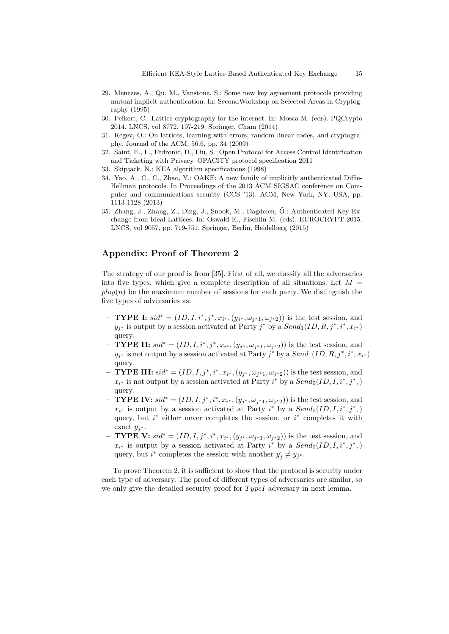- 29. Menezes, A., Qu, M., Vanstone, S.: Some new key agreement protocols providing mutual implicit authentication. In: SecondWorkshop on Selected Areas in Cryptography (1995)
- 30. Peikert, C.: Lattice cryptography for the internet. In: Mosca M. (eds). PQCrypto 2014. LNCS, vol 8772, 197-219. Springer, Cham (2014)
- 31. Regev, O.: On lattices, learning with errors, random linear codes, and cryptography. Journal of the ACM, 56.6, pp. 34 (2009)
- 32. Saint, E., L., Fedronic, D., Liu, S.: Open Protocol for Access Control Identification and Ticketing with Privacy. OPACITY protocol specification 2011
- 33. Skipjack, N.: KEA algorithm specifications (1998)
- 34. Yao, A., C., C., Zhao, Y.: OAKE: A new family of implicitly authenticated Diffie-Hellman protocols. In Proceedings of the 2013 ACM SIGSAC conference on Computer and communications security (CCS '13). ACM, New York, NY, USA, pp. 1113-1128 (2013)
- 35. Zhang, J., Zhang, Z., Ding, J., Snook, M., Dagdelen, O.: Authenticated Key Ex- ¨ change from Ideal Lattices. In: Oswald E., Fischlin M. (eds). EUROCRYPT 2015. LNCS, vol 9057, pp. 719-751. Springer, Berlin, Heidelberg (2015)

# Appendix: Proof of Theorem 2

The strategy of our proof is from [35]. First of all, we classify all the adversaries into five types, which give a complete description of all situations. Let  $M =$  $p\log(n)$  be the maximum number of sessions for each party. We distinguish the five types of adversaries as:

- − **TYPE I:**  $sid^* = (ID, I, i^*, j^*, x_{i^*}, (y_{j^*}, ω_{j^*1}, ω_{j^*2}))$  is the test session, and  $y_{j^*}$  is output by a session activated at Party  $j^*$  by a  $Send_1(ID,R,j^*,i^*,x_{i^*})$ query.
- − **TYPE II:**  $sid^* = (ID, I, i^*, j^*, x_{i^*}, (y_{j^*}, ω_{j^*1}, ω_{j^*2}))$  is the test session, and  $y_{j^*}$  is not output by a session activated at Party  $j^*$  by a  $Send_1(ID,R,j^*,i^*,x_{i^*})$ query.
- − **TYPE III:**  $sid^* = (ID, I, j^*, i^*, x_{i^*}, (y_{j^*}, ω_{j^*1}, ω_{j^*2}))$  is the test session, and  $x_{i^*}$  is not output by a session activated at Party  $i^*$  by a  $Send_0(ID, I, i^*, j^*)$ query.
- − **TYPE IV:**  $sid^* = (ID, I, j^*, i^*, x_{i^*}, (y_{j^*}, ω_{j^*1}, ω_{j^*2}))$  is the test session, and  $x_{i^*}$  is output by a session activated at Party  $i^*$  by a  $Send_0(ID, I, i^*, j^*)$ query, but  $i^*$  either never completes the session, or  $i^*$  completes it with exact  $y_{j^*}$ .
- − **TYPE V:**  $sid^* = (ID, I, j^*, i^*, x_{i^*}, (y_{j^*}, ω_{j^*1}, ω_{j^*2}))$  is the test session, and  $x_{i^*}$  is output by a session activated at Party  $i^*$  by a  $Send_0(ID, I, i^*, j^*)$ query, but  $i^*$  completes the session with another  $y_j^* \neq y_{j^*}$ .

To prove Theorem 2, it is sufficient to show that the protocol is security under each type of adversary. The proof of different types of adversaries are similar, so we only give the detailed security proof for  $TypeI$  adversary in next lemma.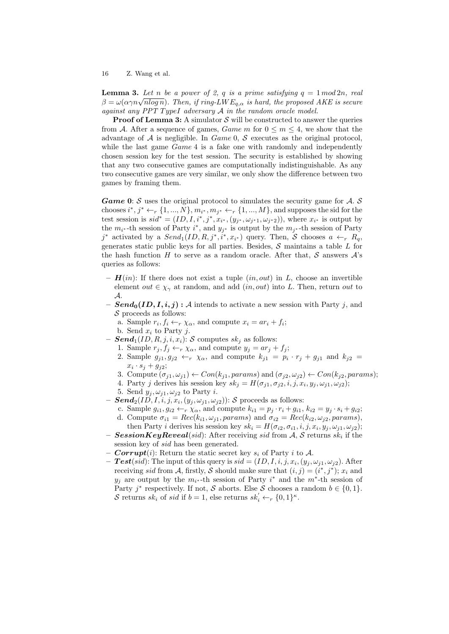**Lemma 3.** Let n be a power of 2, q is a prime satisfying  $q = 1 \mod 2n$ , real **Lemma 3.** Let  $n$  be a power of z, q is a prime satisfying  $q = 1 \mod 2n$ , real  $\beta = \omega(\alpha \gamma n \sqrt{n \log n})$ . Then, if ring-LW  $E_{q,\alpha}$  is hard, the proposed AKE is secure against any PPT TypeI adversary  $A$  in the random oracle model.

**Proof of Lemma 3:** A simulator  $S$  will be constructed to answer the queries from A. After a sequence of games, Game m for  $0 \le m \le 4$ , we show that the advantage of  $A$  is negligible. In  $Game\ 0$ ,  $S$  executes as the original protocol, while the last game  $Game 4$  is a fake one with randomly and independently chosen session key for the test session. The security is established by showing that any two consecutive games are computationally indistinguishable. As any two consecutive games are very similar, we only show the difference between two games by framing them.

**Game 0:** S uses the original protocol to simulates the security game for  $A$ . S chooses  $i^*, j^* \leftarrow_r \{1, ..., N\}, m_{i^*}, m_{j^*} \leftarrow_r \{1, ..., M\}$ , and supposes the sid for the test session is  $sid^* = (ID, I, i^*, j^*, x_{i^*}, (y_{j^*}, \omega_{j^*1}, \omega_{j^*2}))$ , where  $x_{i^*}$  is output by the  $m_{i^*}$ -th session of Party  $i^*$ , and  $y_{j^*}$  is output by the  $m_{j^*}$ -th session of Party j<sup>\*</sup> activated by a  $Send_1(ID, R, j^*, i^*, x_{i^*})$  query. Then, S chooses  $a \leftarrow_r R_q$ , generates static public keys for all parties. Besides,  $S$  maintains a table  $L$  for the hash function H to serve as a random oracle. After that, S answers  $\mathcal{A}$ 's queries as follows:

- $H(in)$ : If there does not exist a tuple  $(in, out)$  in L, choose an invertible element out  $\in \chi_{\gamma}$  at random, and add (*in, out*) into L. Then, return out to A.
- $-$  **Send<sub>0</sub>**(ID, I, i, j) : A intends to activate a new session with Party j, and  $\mathcal S$  proceeds as follows:
	- a. Sample  $r_i, f_i \leftarrow_r \chi_\alpha$ , and compute  $x_i = ar_i + f_i$ ;
	- b. Send  $x_i$  to Party j.
- $-$  **Send**<sub>1</sub>(*ID, R, j, i, x<sub>i</sub>): S computes sk<sub>i</sub> as follows:* 
	- 1. Sample  $r_j, f_j \leftarrow_r \chi_\alpha$ , and compute  $y_j = ar_j + f_j$ ;
	- 2. Sample  $g_{j1}, g_{j2} \leftarrow_r \chi_\alpha$ , and compute  $k_{j1} = p_i \cdot r_j + g_{j1}$  and  $k_{j2} =$  $x_i \cdot s_j + g_{j2};$
	- 3. Compute  $(\sigma_{i1}, \omega_{i1}) \leftarrow Con(k_{i1}, \text{params})$  and  $(\sigma_{i2}, \omega_{i2}) \leftarrow Con(k_{i2}, \text{params});$
	- 4. Party j derives his session key  $sk_j = H(\sigma_{j1}, \sigma_{j2}, i, j, x_i, y_j, \omega_{j1}, \omega_{j2});$
	- 5. Send  $y_i, \omega_{i1}, \omega_{i2}$  to Party *i*.
- $-$  Send<sub>2</sub>(ID, I, i, j,  $x_i$ ,  $(y_j, \omega_{j1}, \omega_{j2})$ ): S proceeds as follows:
	- c. Sample  $g_{i1}, g_{i2} \leftarrow r \chi_{\alpha}$ , and compute  $k_{i1} = p_j \cdot r_i + g_{i1}, k_{i2} = y_j \cdot s_i + g_{i2}$ ;
	- d. Compute  $\sigma_{i1} = Rec(k_{i1}, \omega_{j1}, \text{params})$  and  $\sigma_{i2} = Rec(k_{i2}, \omega_{j2}, \text{params})$ ,
- then Party *i* derives his session key  $sk_i = H(\sigma_{i2}, \sigma_{i1}, i, j, x_i, y_j, \omega_{j1}, \omega_{j2});$ - SessionKeyReveal(sid): After receiving sid from A, S returns sk<sub>i</sub> if the session key of *sid* has been generated.
- **Corrupt**(i): Return the static secret key  $s_i$  of Party i to A.
- $\text{ Test}(sid)$ : The input of this query is  $sid = (ID, I, i, j, x_i, (y_j, \omega_{j1}, \omega_{j2})$ . After receiving sid from A, firstly, S should make sure that  $(i, j) = (i^*, j^*)$ ;  $x_i$  and  $y_j$  are output by the  $m_{i^*}$ -th session of Party  $i^*$  and the  $m^*$ -th session of Party j<sup>\*</sup> respectively. If not, S aborts. Else S chooses a random  $b \in \{0, 1\}$ . S returns  $sk_i$  of sid if  $b = 1$ , else returns  $sk'_i \leftarrow_r \{0, 1\}^{\kappa}$ .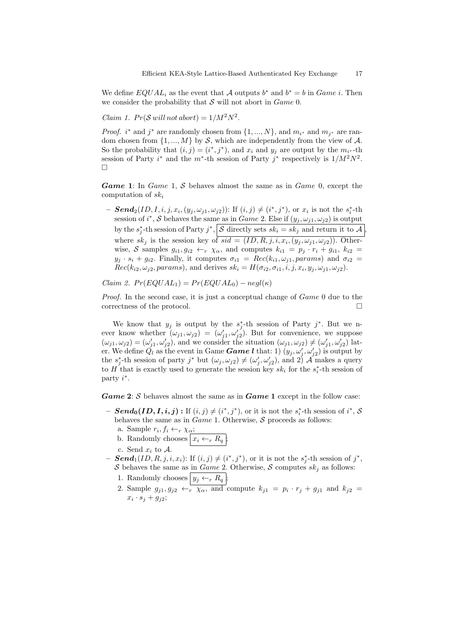We define  $EQUAL_i$  as the event that A outputs  $b^*$  and  $b^* = b$  in *Game i*. Then we consider the probability that  $S$  will not abort in  $Game 0$ .

Claim 1.  $Pr(S$  will not abort) =  $1/M^2N^2$ .

*Proof. i*<sup>\*</sup> and *j*<sup>\*</sup> are randomly chosen from  $\{1, ..., N\}$ , and  $m_{i^*}$  and  $m_{j^*}$  are random chosen from  $\{1, ..., M\}$  by S, which are independently from the view of A. So the probability that  $(i, j) = (i^*, j^*)$ , and  $x_i$  and  $y_j$  are output by the  $m_{i^*}$ -th session of Party  $i^*$  and the  $m^*$ -th session of Party  $j^*$  respectively is  $1/M^2N^2$ . П

Game 1: In Game 1, S behaves almost the same as in Game 0, except the computation of  $sk_i$ 

- **Send**<sub>2</sub>(*ID*,*I*,*i*,*j*,*x<sub>i</sub>*,(*y<sub>j</sub>*, $\omega_{j1}, \omega_{j2}$ )): If (*i*, *j*)  $\neq$  (*i*<sup>\*</sup>,*j*<sup>\*</sup>), or *x<sub>i</sub>* is not the *s*<sup>\*</sup><sub>*i*</sub></sub>-th session of  $i^*$ , S behaves the same as in Game 2. Else if  $(y_j, \omega_{j1}, \omega_{j2})$  is output by the  $s_j^*$ -th session of Party  $j^*$ ,  $\mathcal{S}$  directly sets  $sk_i = sk_j$  and return it to  $\mathcal{A}$ , where  $sk_j$  is the session key of  $sid = (ID, R, j, i, x_i, (y_j, \omega_{j1}, \omega_{j2}))$ . Otherwise, S samples  $g_{i1}, g_{i2} \leftarrow_r \chi_\alpha$ , and computes  $k_{i1} = p_j \cdot r_i + g_{i1}, k_{i2} =$  $y_j \cdot s_i + g_{i2}$ . Finally, it computes  $\sigma_{i1} = Rec(k_{i1}, \omega_{j1}, \text{params})$  and  $\sigma_{i2} =$  $Rec(k_{i2}, \omega_{j2}, \text{params})$ , and derives  $sk_i = H(\sigma_{i2}, \sigma_{i1}, i, j, x_i, y_j, \omega_{j1}, \omega_{j2}).$ 

Claim 2.  $Pr(EQUAL_1) = Pr(EQUAL_0) - negl(\kappa)$ 

Proof. In the second case, it is just a conceptual change of Game 0 due to the correctness of the protocol.

We know that  $y_j$  is output by the  $s_j^*$ -th session of Party  $j^*$ . But we never know whether  $(\omega_{j1}, \omega_{j2}) = (\omega'_{j1}, \omega'_{j2})$ . But for convenience, we suppose  $(\omega_{j1}, \omega_{j2}) = (\omega'_{j1}, \omega'_{j2}),$  and we consider the situation  $(\omega_{j1}, \omega_{j2}) \neq (\omega'_{j1}, \omega'_{j2})$  later. We define  $\check{Q}_l$  as the event in Game **Game l** that: 1)  $(y_j, \omega'_j, \omega'_{j2})$  is output by the  $s_j^*$ -th session of party  $j^*$  but  $(\omega_j, \omega_{j2}) \neq (\omega'_j, \omega'_{j2})$ , and  $2^j$  A makes a query to H that is exactly used to generate the session key  $sk_i$  for the  $s_i^*$ -th session of party  $i^*$ .

**Game 2:**  $S$  behaves almost the same as in **Game 1** except in the follow case:

- $\; Send_0(ID,I,i,j) : \text{If } (i,j) \neq (i^*,j^*)\text{, or it is not the } s_i^*\text{-th session of } i^*\text{, } S$ behaves the same as in  $Game 1$ . Otherwise,  $S$  proceeds as follows:
	- a. Sample  $r_i, f_i \leftarrow_r \chi_\alpha;$
	- b. Randomly chooses  $x_i \leftarrow_r R_q$ ;
	- c. Send  $x_i$  to  $A$ .
- **Send**<sub>1</sub>(*ID*, *R*, *j*, *i*, *x<sub>i</sub>*): If  $(i, j) \neq (i^*, j^*)$ , or it is not the  $s_j^*$ -th session of  $j^*$ , S behaves the same as in Game 2. Otherwise, S computes  $sk_j$  as follows:
	- 1. Randomly chooses  $y_j \leftarrow_r R_q$ ;
	- 2. Sample  $g_{j1}, g_{j2} \leftarrow r \chi_{\alpha}$ , and compute  $k_{j1} = p_i \cdot r_j + g_{j1}$  and  $k_{j2} =$  $x_i \cdot s_j + g_{j2};$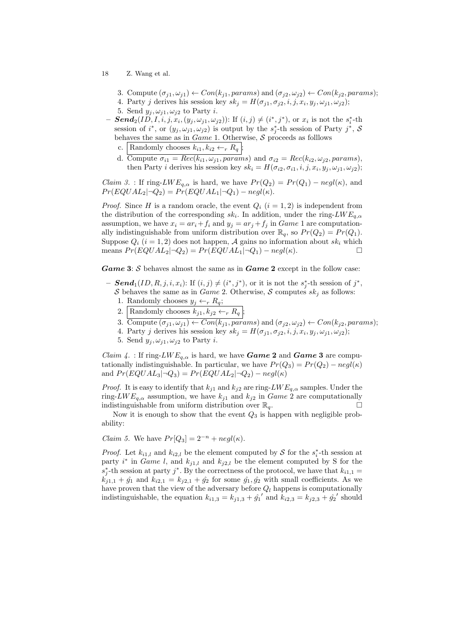- 3. Compute  $(\sigma_{j1}, \omega_{j1}) \leftarrow Con(k_{j1}, \text{params})$  and  $(\sigma_{j2}, \omega_{j2}) \leftarrow Con(k_{j2}, \text{params});$
- 4. Party j derives his session key  $sk_j = H(\sigma_{j1}, \sigma_{j2}, i, j, x_i, y_j, \omega_{j1}, \omega_{j2});$
- 5. Send  $y_j, \omega_{j1}, \omega_{j2}$  to Party *i*.
- $\; \textbf{Send}_2(ID, I, i, j, x_i, (y_j, \omega_{j1}, \omega_{j2}))$ : If  $(i, j) \neq (i^*, j^*)$ , or  $x_i$  is not the  $s_i^*$ -th session of  $i^*$ , or  $(y_j, \omega_{j1}, \omega_{j2})$  is output by the  $s_j^*$ -th session of Party  $j^*$ , S behaves the same as in  $Game 1$ . Otherwise,  $S$  proceeds as folllows
	- c. Randomly chooses  $k_{i1}, k_{i2} \leftarrow_r R_q$ ;
	- d. Compute  $\sigma_{i1} = Rec(k_{i1}, \omega_{j1}, params)$  and  $\sigma_{i2} = Rec(k_{i2}, \omega_{j2}, params)$ , then Party *i* derives his session key  $sk_i = H(\sigma_{i2}, \sigma_{i1}, i, j, x_i, y_j, \omega_{j1}, \omega_{j2});$

*Claim 3.* : If ring-LW  $E_{q,\alpha}$  is hard, we have  $Pr(Q_2) = Pr(Q_1) - negl(\kappa)$ , and  $Pr(EQUAL_2|\neg Q_2) = Pr(EQUAL_1|\neg Q_1) - negl(\kappa).$ 

*Proof.* Since H is a random oracle, the event  $Q_i$  ( $i = 1, 2$ ) is independent from the distribution of the corresponding  $sk_i$ . In addition, under the ring- $LWE_{q,\alpha}$ assumption, we have  $x_i = ar_i + f_i$  and  $y_j = ar_j + f_j$  in *Game* 1 are computationally indistinguishable from uniform distribution over  $\mathbb{R}_q$ , so  $Pr(Q_2) = Pr(Q_1)$ . Suppose  $Q_i$   $(i = 1, 2)$  does not happen, A gains no information about  $sk_i$  which means  $Pr(EQUAL_2 | \neg Q_2) = Pr(EQUAL_1 | \neg Q_1) - negl(\kappa).$ 

**Game 3:** S behaves almost the same as in **Game 2** except in the follow case:

- **Send**<sub>1</sub>(*ID*, *R*, *j*, *i*, *x<sub>i</sub>*): If  $(i, j) \neq (i^*, j^*)$ , or it is not the  $s_j^*$ -th session of  $j^*$ , S behaves the same as in Game 2. Otherwise, S computes  $sk_j$  as follows:
	- 1. Randomly chooses  $y_j \leftarrow_r R_q$ ;
	- 2. Randomly chooses  $k_{j1}, k_{j2} \leftarrow_r R_q$ ;
	- 3. Compute  $(\sigma_{i1}, \omega_{i1}) \leftarrow Con(k_{i1}, params)$  and  $(\sigma_{i2}, \omega_{i2}) \leftarrow Con(k_{i2}, params);$
	- 4. Party j derives his session key  $sk_j = H(\sigma_{j1}, \sigma_{j2}, i, j, x_i, y_j, \omega_{j1}, \omega_{j2});$
	- 5. Send  $y_j, \omega_{j1}, \omega_{j2}$  to Party *i*.

*Claim 4.* : If ring-LW  $E_{q,\alpha}$  is hard, we have **Game 2** and **Game 3** are computationally indistinguishable. In particular, we have  $Pr(Q_3) = Pr(Q_2) - negl(\kappa)$ and  $Pr(EQUAL_3|\neg Q_3) = Pr(EQUAL_2|\neg Q_2) - negl(\kappa)$ 

*Proof.* It is easy to identify that  $k_{j1}$  and  $k_{j2}$  are ring- $LWE_{q,\alpha}$  samples. Under the ring-LW  $E_{q,\alpha}$  assumption, we have  $k_{i1}$  and  $k_{i2}$  in Game 2 are computationally indistinguishable from uniform distribution over  $\mathbb{R}_q$ .

Now it is enough to show that the event  $Q_3$  is happen with negligible probability:

*Claim 5.* We have  $Pr[Q_3] = 2^{-n} + negl(\kappa)$ .

*Proof.* Let  $k_{i1,l}$  and  $k_{i2,l}$  be the element computed by S for the  $s_i^*$ -th session at party  $i^*$  in *Game l*, and  $k_{j1,l}$  and  $k_{j2,l}$  be the element computed by S for the  $s_j^*$ -th session at party j<sup>\*</sup>. By the correctness of the protocol, we have that  $k_{i1,1}$  =  $k_{j1,1} + \hat{g}_1$  and  $k_{i2,1} = k_{j2,1} + \hat{g}_2$  for some  $\hat{g}_1, \hat{g}_2$  with small coefficients. As we have proven that the view of the adversary before  $Q_l$  happens is computationally indistinguishable, the equation  $k_{i1,3} = k_{j1,3} + \hat{g_1}'$  and  $k_{i2,3} = k_{j2,3} + \hat{g_2}'$  should